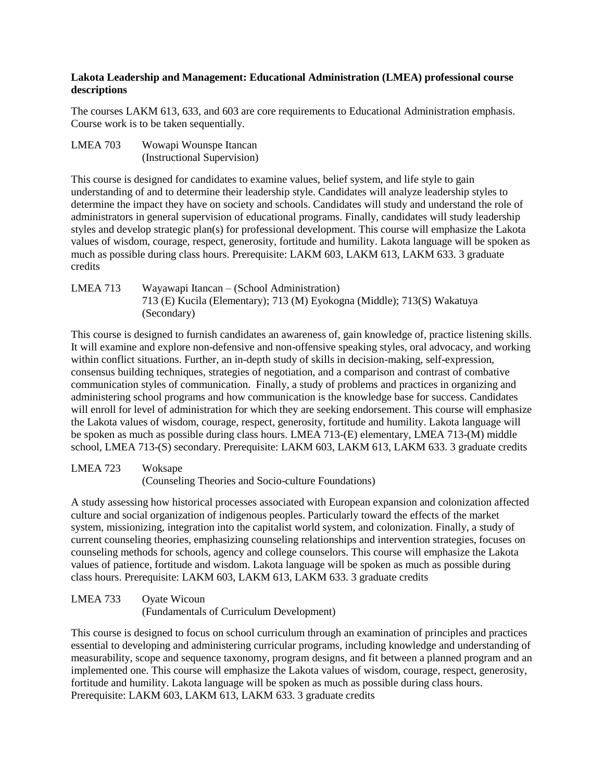## **Lakota Leadership and Management: Educational Administration (LMEA) professional course descriptions**

The courses LAKM 613, 633, and 603 are core requirements to Educational Administration emphasis. Course work is to be taken sequentially.

LMEA 703 Wowapi Wounspe Itancan (Instructional Supervision)

This course is designed for candidates to examine values, belief system, and life style to gain understanding of and to determine their leadership style. Candidates will analyze leadership styles to determine the impact they have on society and schools. Candidates will study and understand the role of administrators in general supervision of educational programs. Finally, candidates will study leadership styles and develop strategic plan(s) for professional development. This course will emphasize the Lakota values of wisdom, courage, respect, generosity, fortitude and humility. Lakota language will be spoken as much as possible during class hours. Prerequisite: LAKM 603, LAKM 613, LAKM 633. 3 graduate credits

LMEA 713 Wayawapi Itancan – (School Administration) 713 (E) Kucila (Elementary); 713 (M) Eyokogna (Middle); 713(S) Wakatuya (Secondary)

This course is designed to furnish candidates an awareness of, gain knowledge of, practice listening skills. It will examine and explore non-defensive and non-offensive speaking styles, oral advocacy, and working within conflict situations. Further, an in-depth study of skills in decision-making, self-expression, consensus building techniques, strategies of negotiation, and a comparison and contrast of combative communication styles of communication. Finally, a study of problems and practices in organizing and administering school programs and how communication is the knowledge base for success. Candidates will enroll for level of administration for which they are seeking endorsement. This course will emphasize the Lakota values of wisdom, courage, respect, generosity, fortitude and humility. Lakota language will be spoken as much as possible during class hours. LMEA 713-(E) elementary, LMEA 713-(M) middle school, LMEA 713-(S) secondary. Prerequisite: LAKM 603, LAKM 613, LAKM 633. 3 graduate credits

LMEA 723 Woksape (Counseling Theories and Socio-culture Foundations)

A study assessing how historical processes associated with European expansion and colonization affected culture and social organization of indigenous peoples. Particularly toward the effects of the market system, missionizing, integration into the capitalist world system, and colonization. Finally, a study of current counseling theories, emphasizing counseling relationships and intervention strategies, focuses on counseling methods for schools, agency and college counselors. This course will emphasize the Lakota values of patience, fortitude and wisdom. Lakota language will be spoken as much as possible during class hours. Prerequisite: LAKM 603, LAKM 613, LAKM 633. 3 graduate credits

LMEA 733 Oyate Wicoun (Fundamentals of Curriculum Development)

This course is designed to focus on school curriculum through an examination of principles and practices essential to developing and administering curricular programs, including knowledge and understanding of measurability, scope and sequence taxonomy, program designs, and fit between a planned program and an implemented one. This course will emphasize the Lakota values of wisdom, courage, respect, generosity, fortitude and humility. Lakota language will be spoken as much as possible during class hours. Prerequisite: LAKM 603, LAKM 613, LAKM 633. 3 graduate credits